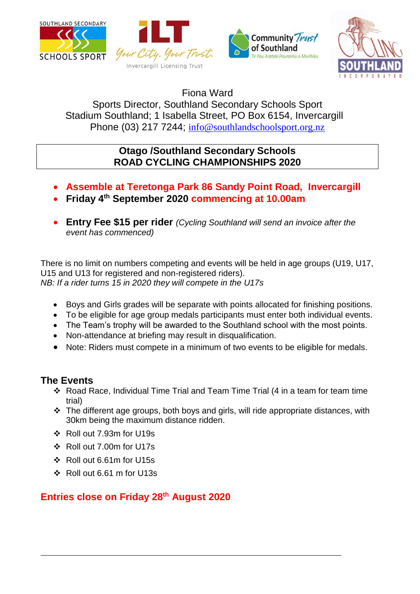







Fiona Ward

Sports Director, Southland Secondary Schools Sport Stadium Southland; 1 Isabella Street, PO Box 6154, Invercargill Phone (03) 217 7244; [info@southlandschoolsport.org.nz](mailto:info@southlandschoolsport.org.nz)

## **Otago /Southland Secondary Schools ROAD CYCLING CHAMPIONSHIPS 2020**

- **Assemble at Teretonga Park 86 Sandy Point Road, Invercargill**
- **Friday 4th September 2020 commencing at 10.00am**
- **Entry Fee \$15 per rider** *(Cycling Southland will send an invoice after the event has commenced)*

There is no limit on numbers competing and events will be held in age groups (U19, U17, U15 and U13 for registered and non-registered riders). *NB: If a rider turns 15 in 2020 they will compete in the U17s*

- Boys and Girls grades will be separate with points allocated for finishing positions.
- To be eligible for age group medals participants must enter both individual events.
- The Team's trophy will be awarded to the Southland school with the most points.
- Non-attendance at briefing may result in disqualification.
- Note: Riders must compete in a minimum of two events to be eligible for medals.

## **The Events**

- Road Race, Individual Time Trial and Team Time Trial (4 in a team for team time trial)
- \* The different age groups, both boys and girls, will ride appropriate distances, with 30km being the maximum distance ridden.
- Roll out 7.93m for U19s
- Roll out 7.00m for U17s
- Roll out 6.61m for U15s
- Roll out 6.61 m for U13s

## **Entries close on Friday 28th August 2020**